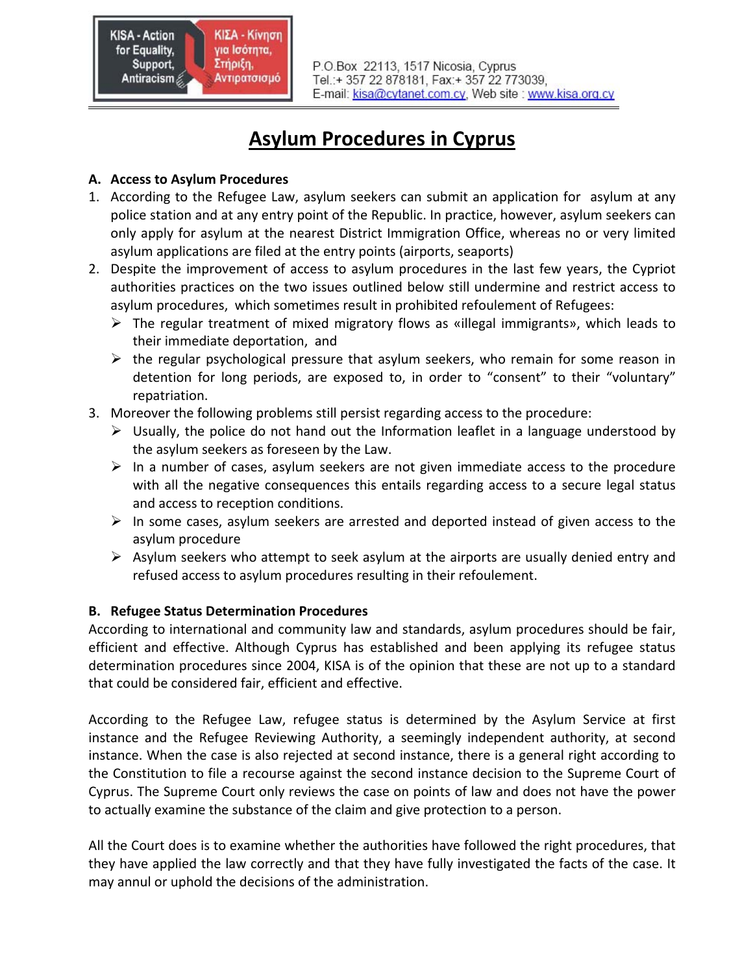P.O.Box 22113, 1517 Nicosia, Cyprus Tel.:+ 357 22 878181, Fax:+ 357 22 773039, E-mail: kisa@cytanet.com.cy, Web site : www.kisa.org.cy

# **Asylum Procedures in Cyprus**

### **A. Access to Asylum Procedures**

- 1. According to the Refugee Law, asylum seekers can submit an application for asylum at any police station and at any entry point of the Republic. In practice, however, asylum seekers can only apply for asylum at the nearest District Immigration Office, whereas no or very limited asylum applications are filed at the entry points (airports, seaports)
- 2. Despite the improvement of access to asylum procedures in the last few years, the Cypriot authorities practices on the two issues outlined below still undermine and restrict access to asylum procedures, which sometimes result in prohibited refoulement of Refugees:
	- ¾ The regular treatment of mixed migratory flows as «illegal immigrants», which leads to their immediate deportation, and
	- $\triangleright$  the regular psychological pressure that asylum seekers, who remain for some reason in detention for long periods, are exposed to, in order to "consent" to their "voluntary" repatriation.
- 3. Moreover the following problems still persist regarding access to the procedure:
	- $\triangleright$  Usually, the police do not hand out the Information leaflet in a language understood by the asylum seekers as foreseen by the Law.
	- $\triangleright$  In a number of cases, asylum seekers are not given immediate access to the procedure with all the negative consequences this entails regarding access to a secure legal status and access to reception conditions.
	- $\triangleright$  In some cases, asylum seekers are arrested and deported instead of given access to the asylum procedure
	- $\triangleright$  Asylum seekers who attempt to seek asylum at the airports are usually denied entry and refused access to asylum procedures resulting in their refoulement.

## **B. Refugee Status Determination Procedures**

According to international and community law and standards, asylum procedures should be fair, efficient and effective. Although Cyprus has established and been applying its refugee status determination procedures since 2004, KISA is of the opinion that these are not up to a standard that could be considered fair, efficient and effective.

According to the Refugee Law, refugee status is determined by the Asylum Service at first instance and the Refugee Reviewing Authority, a seemingly independent authority, at second instance. When the case is also rejected at second instance, there is a general right according to the Constitution to file a recourse against the second instance decision to the Supreme Court of Cyprus. The Supreme Court only reviews the case on points of law and does not have the power to actually examine the substance of the claim and give protection to a person.

All the Court does is to examine whether the authorities have followed the right procedures, that they have applied the law correctly and that they have fully investigated the facts of the case. It may annul or uphold the decisions of the administration.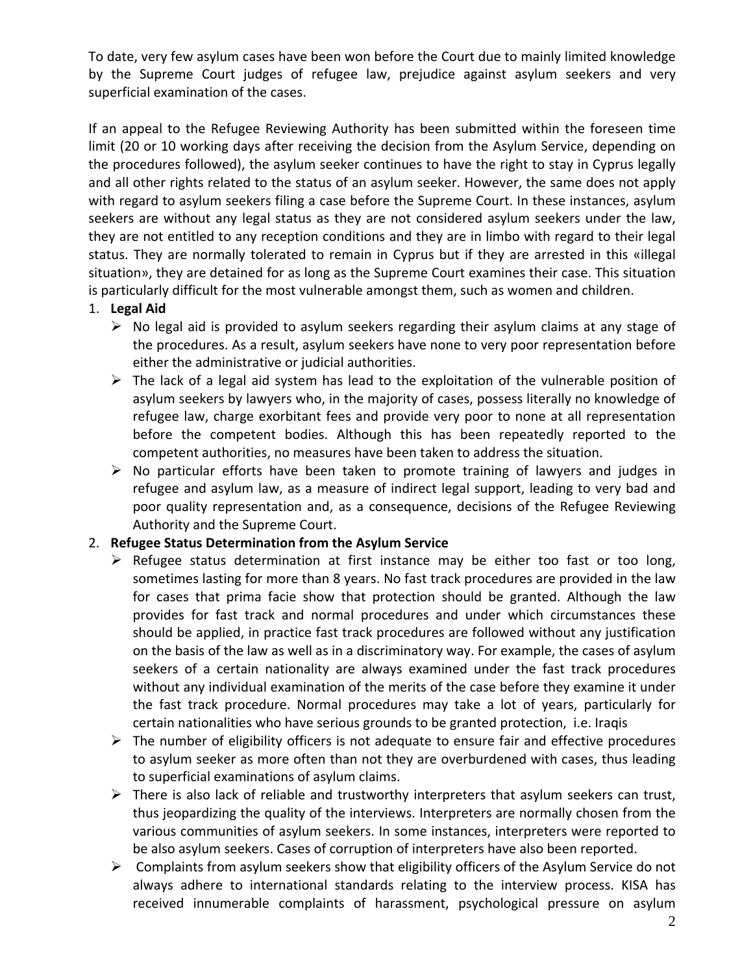To date, very few asylum cases have been won before the Court due to mainly limited knowledge by the Supreme Court judges of refugee law, prejudice against asylum seekers and very superficial examination of the cases.

If an appeal to the Refugee Reviewing Authority has been submitted within the foreseen time limit (20 or 10 working days after receiving the decision from the Asylum Service, depending on the procedures followed), the asylum seeker continues to have the right to stay in Cyprus legally and all other rights related to the status of an asylum seeker. However, the same does not apply with regard to asylum seekers filing a case before the Supreme Court. In these instances, asylum seekers are without any legal status as they are not considered asylum seekers under the law, they are not entitled to any reception conditions and they are in limbo with regard to their legal status. They are normally tolerated to remain in Cyprus but if they are arrested in this «illegal situation», they are detained for as long as the Supreme Court examines their case. This situation is particularly difficult for the most vulnerable amongst them, such as women and children.

#### 1. **Legal Aid**

- $\triangleright$  No legal aid is provided to asylum seekers regarding their asylum claims at any stage of the procedures. As a result, asylum seekers have none to very poor representation before either the administrative or judicial authorities.
- $\triangleright$  The lack of a legal aid system has lead to the exploitation of the vulnerable position of asylum seekers by lawyers who, in the majority of cases, possess literally no knowledge of refugee law, charge exorbitant fees and provide very poor to none at all representation before the competent bodies. Although this has been repeatedly reported to the competent authorities, no measures have been taken to address the situation.
- $\triangleright$  No particular efforts have been taken to promote training of lawyers and judges in refugee and asylum law, as a measure of indirect legal support, leading to very bad and poor quality representation and, as a consequence, decisions of the Refugee Reviewing Authority and the Supreme Court.

#### 2. **Refugee Status Determination from the Asylum Service**

- $\triangleright$  Refugee status determination at first instance may be either too fast or too long, sometimes lasting for more than 8 years. No fast track procedures are provided in the law for cases that prima facie show that protection should be granted. Although the law provides for fast track and normal procedures and under which circumstances these should be applied, in practice fast track procedures are followed without any justification on the basis of the law as well as in a discriminatory way. For example, the cases of asylum seekers of a certain nationality are always examined under the fast track procedures without any individual examination of the merits of the case before they examine it under the fast track procedure. Normal procedures may take a lot of years, particularly for certain nationalities who have serious grounds to be granted protection, i.e. Iraqis
- $\triangleright$  The number of eligibility officers is not adequate to ensure fair and effective procedures to asylum seeker as more often than not they are overburdened with cases, thus leading to superficial examinations of asylum claims.
- $\triangleright$  There is also lack of reliable and trustworthy interpreters that asylum seekers can trust, thus jeopardizing the quality of the interviews. Interpreters are normally chosen from the various communities of asylum seekers. In some instances, interpreters were reported to be also asylum seekers. Cases of corruption of interpreters have also been reported.
- $\triangleright$  Complaints from asylum seekers show that eligibility officers of the Asylum Service do not always adhere to international standards relating to the interview process. KISA has received innumerable complaints of harassment, psychological pressure on asylum